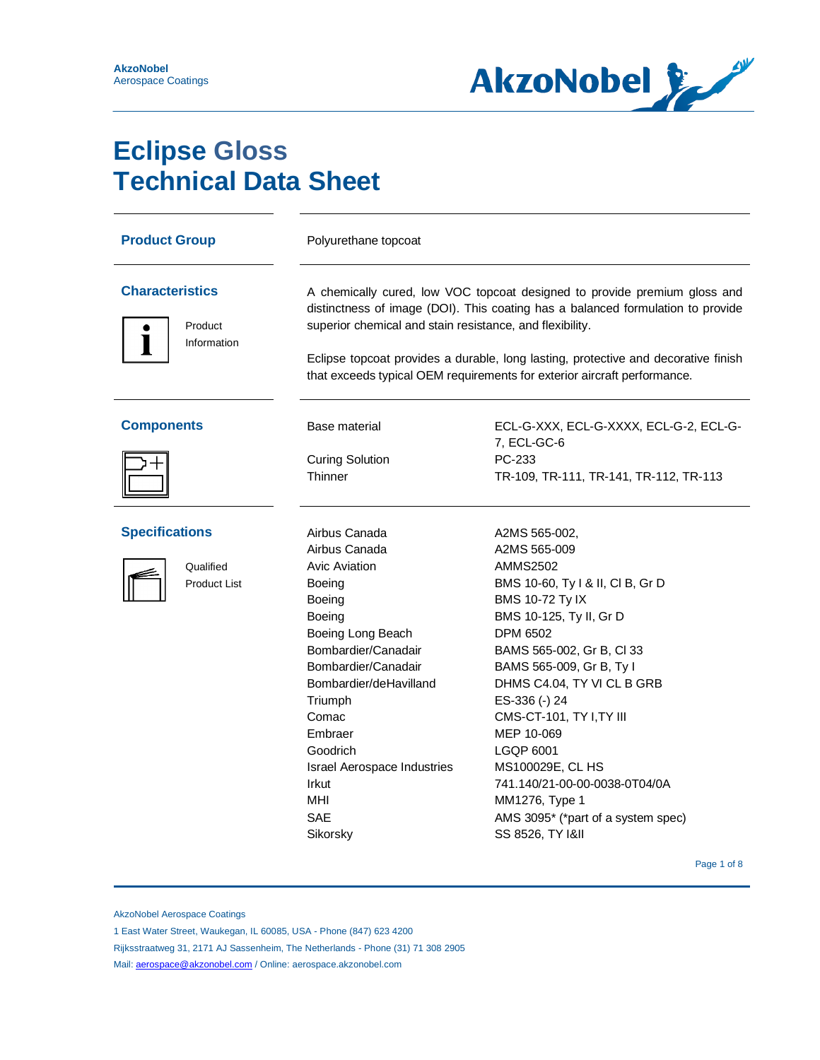

# **Eclipse Gloss Technical Data Sheet**

| <b>Product Group</b>                                      | Polyurethane topcoat                                                                                                                                                                                                                                                                                                                                                                       |                                                                                                                                                                                                                                                                                                                                                                                                                                                                             |
|-----------------------------------------------------------|--------------------------------------------------------------------------------------------------------------------------------------------------------------------------------------------------------------------------------------------------------------------------------------------------------------------------------------------------------------------------------------------|-----------------------------------------------------------------------------------------------------------------------------------------------------------------------------------------------------------------------------------------------------------------------------------------------------------------------------------------------------------------------------------------------------------------------------------------------------------------------------|
| <b>Characteristics</b><br>Product<br>Information          | A chemically cured, low VOC topcoat designed to provide premium gloss and<br>distinctness of image (DOI). This coating has a balanced formulation to provide<br>superior chemical and stain resistance, and flexibility.<br>Eclipse topcoat provides a durable, long lasting, protective and decorative finish<br>that exceeds typical OEM requirements for exterior aircraft performance. |                                                                                                                                                                                                                                                                                                                                                                                                                                                                             |
| <b>Components</b>                                         | Base material<br><b>Curing Solution</b><br>Thinner                                                                                                                                                                                                                                                                                                                                         | ECL-G-XXX, ECL-G-XXXX, ECL-G-2, ECL-G-<br>7, ECL-GC-6<br>PC-233<br>TR-109, TR-111, TR-141, TR-112, TR-113                                                                                                                                                                                                                                                                                                                                                                   |
| <b>Specifications</b><br>Qualified<br><b>Product List</b> | Airbus Canada<br>Airbus Canada<br><b>Avic Aviation</b><br>Boeing<br>Boeing<br>Boeing<br>Boeing Long Beach<br>Bombardier/Canadair<br>Bombardier/Canadair<br>Bombardier/deHavilland<br>Triumph<br>Comac<br>Embraer<br>Goodrich<br><b>Israel Aerospace Industries</b><br>Irkut<br>MHI<br><b>SAE</b><br>Sikorsky                                                                               | A2MS 565-002,<br>A2MS 565-009<br><b>AMMS2502</b><br>BMS 10-60, Ty I & II, CI B, Gr D<br><b>BMS 10-72 Ty IX</b><br>BMS 10-125, Ty II, Gr D<br><b>DPM 6502</b><br>BAMS 565-002, Gr B, Cl 33<br>BAMS 565-009, Gr B, Ty I<br>DHMS C4.04, TY VI CL B GRB<br>ES-336 (-) 24<br>CMS-CT-101, TY I, TY III<br>MEP 10-069<br>LGQP 6001<br>MS100029E, CL HS<br>741.140/21-00-00-0038-0T04/0A<br>MM1276, Type 1<br>AMS 3095* (*part of a system spec)<br>SS 8526, TY I&II<br>Page 1 of 8 |

AkzoNobel Aerospace Coatings

Rijksstraatweg 31, 2171 AJ Sassenheim, The Netherlands - Phone (31) 71 308 2905

Mail: **aerospace@akzonobel.com** / Online: aerospace.akzonobel.com

<sup>1</sup> East Water Street, Waukegan, IL 60085, USA - Phone (847) 623 4200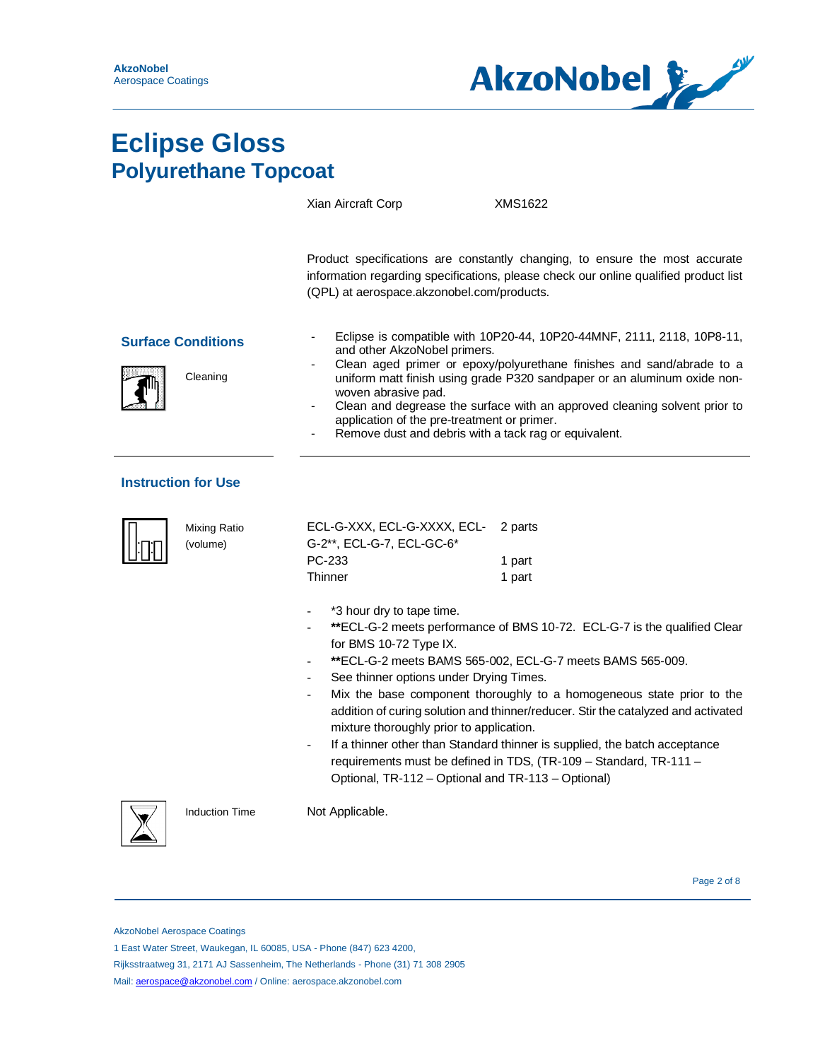

|                                       |                                 | Xian Aircraft Corp                                                                                                                                                                               | XMS1622                                                                                                                                                                                                                                                                                                                                                                                                                                                |
|---------------------------------------|---------------------------------|--------------------------------------------------------------------------------------------------------------------------------------------------------------------------------------------------|--------------------------------------------------------------------------------------------------------------------------------------------------------------------------------------------------------------------------------------------------------------------------------------------------------------------------------------------------------------------------------------------------------------------------------------------------------|
|                                       |                                 | (QPL) at aerospace.akzonobel.com/products.                                                                                                                                                       | Product specifications are constantly changing, to ensure the most accurate<br>information regarding specifications, please check our online qualified product list                                                                                                                                                                                                                                                                                    |
| <b>Surface Conditions</b><br>Cleaning |                                 | and other AkzoNobel primers.<br>woven abrasive pad.<br>application of the pre-treatment or primer.<br>Remove dust and debris with a tack rag or equivalent.                                      | Eclipse is compatible with 10P20-44, 10P20-44MNF, 2111, 2118, 10P8-11,<br>Clean aged primer or epoxy/polyurethane finishes and sand/abrade to a<br>uniform matt finish using grade P320 sandpaper or an aluminum oxide non-<br>Clean and degrease the surface with an approved cleaning solvent prior to                                                                                                                                               |
|                                       | <b>Instruction for Use</b>      |                                                                                                                                                                                                  |                                                                                                                                                                                                                                                                                                                                                                                                                                                        |
|                                       | <b>Mixing Ratio</b><br>(volume) | ECL-G-XXX, ECL-G-XXXX, ECL-<br>G-2**, ECL-G-7, ECL-GC-6*<br>PC-233<br>Thinner                                                                                                                    | 2 parts<br>1 part<br>1 part                                                                                                                                                                                                                                                                                                                                                                                                                            |
|                                       |                                 | *3 hour dry to tape time.<br>for BMS 10-72 Type IX.<br>See thinner options under Drying Times.<br>mixture thoroughly prior to application.<br>Optional, TR-112 - Optional and TR-113 - Optional) | **ECL-G-2 meets performance of BMS 10-72. ECL-G-7 is the qualified Clear<br>**ECL-G-2 meets BAMS 565-002, ECL-G-7 meets BAMS 565-009.<br>Mix the base component thoroughly to a homogeneous state prior to the<br>addition of curing solution and thinner/reducer. Stir the catalyzed and activated<br>If a thinner other than Standard thinner is supplied, the batch acceptance<br>requirements must be defined in TDS, (TR-109 - Standard, TR-111 - |
|                                       | <b>Induction Time</b>           | Not Applicable.                                                                                                                                                                                  |                                                                                                                                                                                                                                                                                                                                                                                                                                                        |

Page 2 of 8 Page 2 of 8 Page 2 of 8 Page 2 of 8

AkzoNobel Aerospace Coatings

1 East Water Street, Waukegan, IL 60085, USA - Phone (847) 623 4200,

Rijksstraatweg 31, 2171 AJ Sassenheim, The Netherlands - Phone (31) 71 308 2905

Mail: [aerospace@akzonobel.com](mailto:aerospace@akzonobel.com) / Online: aerospace.akzonobel.com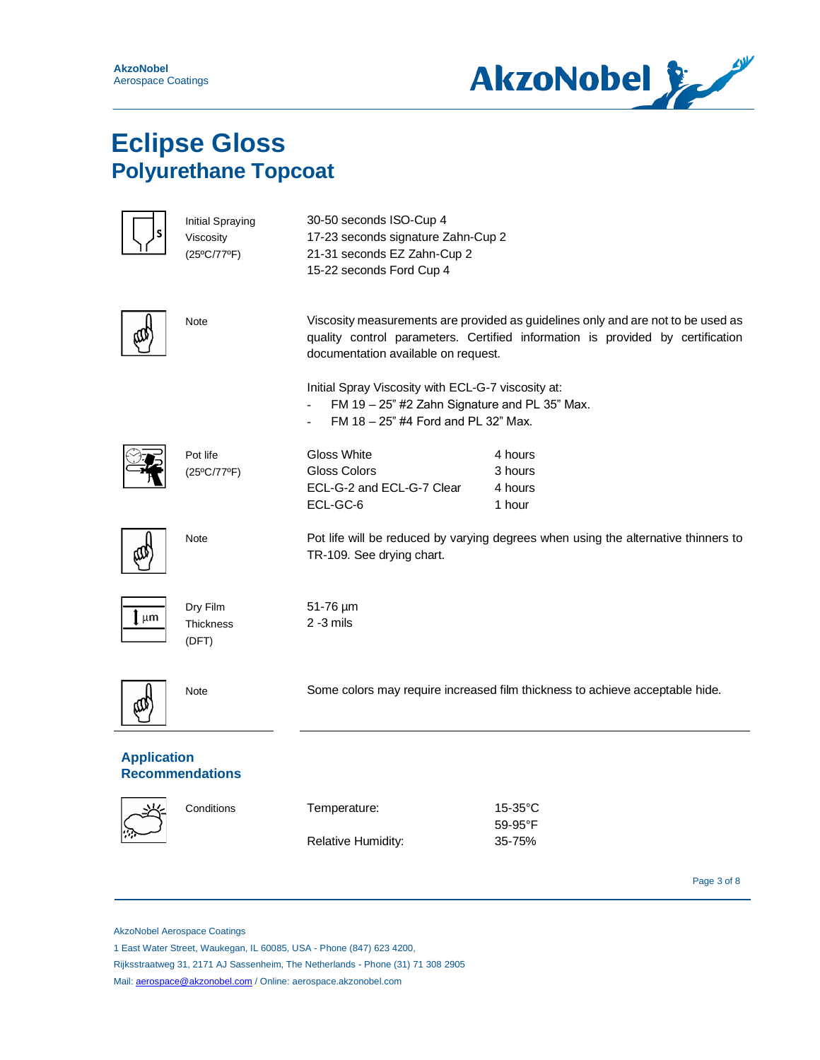

|                    | <b>Initial Spraying</b><br>Viscosity<br>$(25^{\circ}C/77^{\circ}F)$ | 30-50 seconds ISO-Cup 4<br>17-23 seconds signature Zahn-Cup 2<br>21-31 seconds EZ Zahn-Cup 2<br>15-22 seconds Ford Cup 4                                                          |                                                                                                                                                                    |
|--------------------|---------------------------------------------------------------------|-----------------------------------------------------------------------------------------------------------------------------------------------------------------------------------|--------------------------------------------------------------------------------------------------------------------------------------------------------------------|
|                    | Note                                                                | documentation available on request.<br>Initial Spray Viscosity with ECL-G-7 viscosity at:<br>FM 19 - 25" #2 Zahn Signature and PL 35" Max.<br>FM 18 - 25" #4 Ford and PL 32" Max. | Viscosity measurements are provided as guidelines only and are not to be used as<br>quality control parameters. Certified information is provided by certification |
|                    | Pot life<br>$(25^{\circ}C/77^{\circ}F)$                             | Gloss White<br>Gloss Colors<br>ECL-G-2 and ECL-G-7 Clear<br>ECL-GC-6                                                                                                              | 4 hours<br>3 hours<br>4 hours<br>1 hour                                                                                                                            |
|                    | Note                                                                | TR-109. See drying chart.                                                                                                                                                         | Pot life will be reduced by varying degrees when using the alternative thinners to                                                                                 |
| [ µm               | Dry Film<br><b>Thickness</b><br>(DFT)                               | 51-76 µm<br>$2 - 3$ mils                                                                                                                                                          |                                                                                                                                                                    |
|                    | Note                                                                | Some colors may require increased film thickness to achieve acceptable hide.                                                                                                      |                                                                                                                                                                    |
| <b>Application</b> | <b>Recommendations</b>                                              |                                                                                                                                                                                   |                                                                                                                                                                    |
|                    | Conditions                                                          | Temperature:<br>Relative Humidity:                                                                                                                                                | $15-35$ °C<br>59-95°F<br>35-75%                                                                                                                                    |
|                    |                                                                     |                                                                                                                                                                                   | Page 3 of 8                                                                                                                                                        |

AkzoNobel Aerospace Coatings

1 East Water Street, Waukegan, IL 60085, USA - Phone (847) 623 4200,

Rijksstraatweg 31, 2171 AJ Sassenheim, The Netherlands - Phone (31) 71 308 2905

Mail: **aerospace@akzonobel.com** / Online: aerospace.akzonobel.com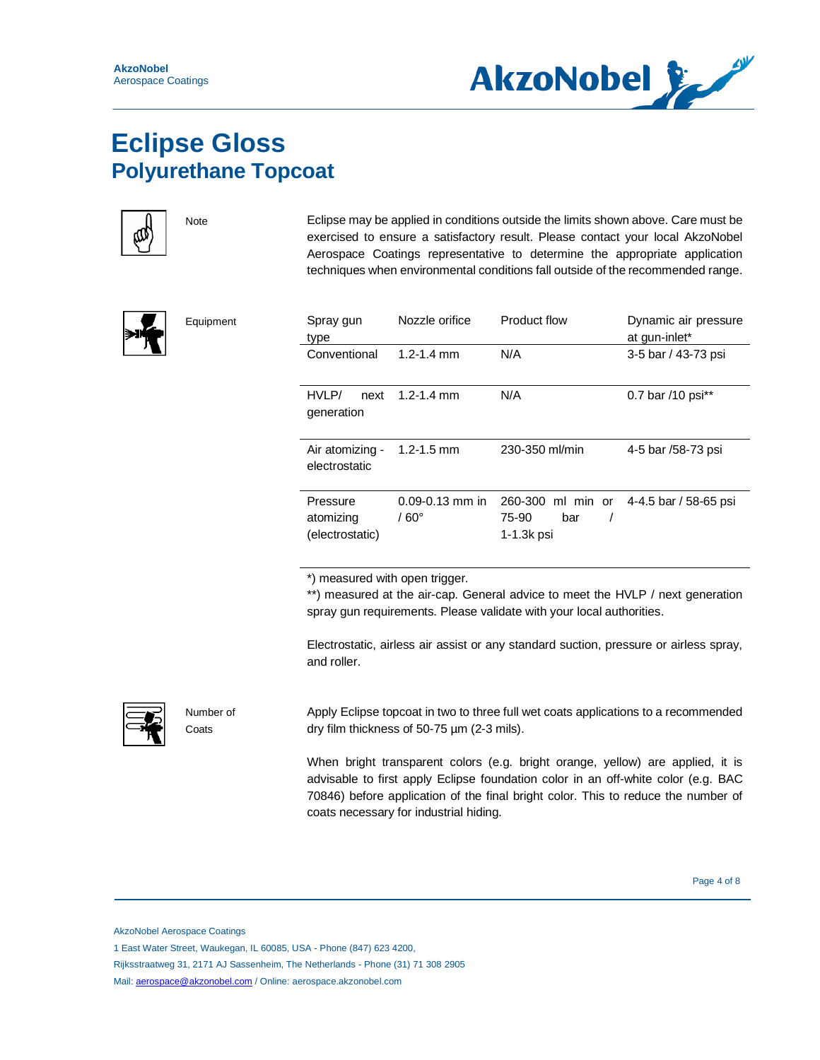



Equipment

Note **Eclipse may be applied in conditions outside the limits shown above. Care must be** exercised to ensure a satisfactory result. Please contact your local AkzoNobel Aerospace Coatings representative to determine the appropriate application techniques when environmental conditions fall outside of the recommended range.



| Spray gun<br>type                        | Nozzle orifice                       | Product flow                                    | Dynamic air pressure<br>at gun-inlet* |
|------------------------------------------|--------------------------------------|-------------------------------------------------|---------------------------------------|
| Conventional                             | $1.2 - 1.4$ mm                       | N/A                                             | 3-5 bar / 43-73 psi                   |
| HVLP/<br>next<br>generation              | $1.2 - 1.4$ mm                       | N/A                                             | 0.7 bar /10 psi**                     |
| Air atomizing -<br>electrostatic         | $1.2 - 1.5$ mm                       | 230-350 ml/min                                  | 4-5 bar /58-73 psi                    |
| Pressure<br>atomizing<br>(electrostatic) | $0.09 - 0.13$ mm in<br>$/60^{\circ}$ | 260-300 ml min or<br>75-90<br>bar<br>1-1.3k psi | 4-4.5 bar / 58-65 psi                 |

\*) measured with open trigger.

\*\*) measured at the air-cap. General advice to meet the HVLP / next generation spray gun requirements. Please validate with your local authorities.

Electrostatic, airless air assist or any standard suction, pressure or airless spray, and roller.



Number of **Coats** 

Apply Eclipse topcoat in two to three full wet coats applications to a recommended dry film thickness of 50-75 µm (2-3 mils).

When bright transparent colors (e.g. bright orange, yellow) are applied, it is advisable to first apply Eclipse foundation color in an off-white color (e.g. BAC 70846) before application of the final bright color. This to reduce the number of coats necessary for industrial hiding.

Page 4 of 8

AkzoNobel Aerospace Coatings

<sup>1</sup> East Water Street, Waukegan, IL 60085, USA - Phone (847) 623 4200,

Rijksstraatweg 31, 2171 AJ Sassenheim, The Netherlands - Phone (31) 71 308 2905

Mail: [aerospace@akzonobel.com](mailto:aerospace@akzonobel.com) / Online: aerospace.akzonobel.com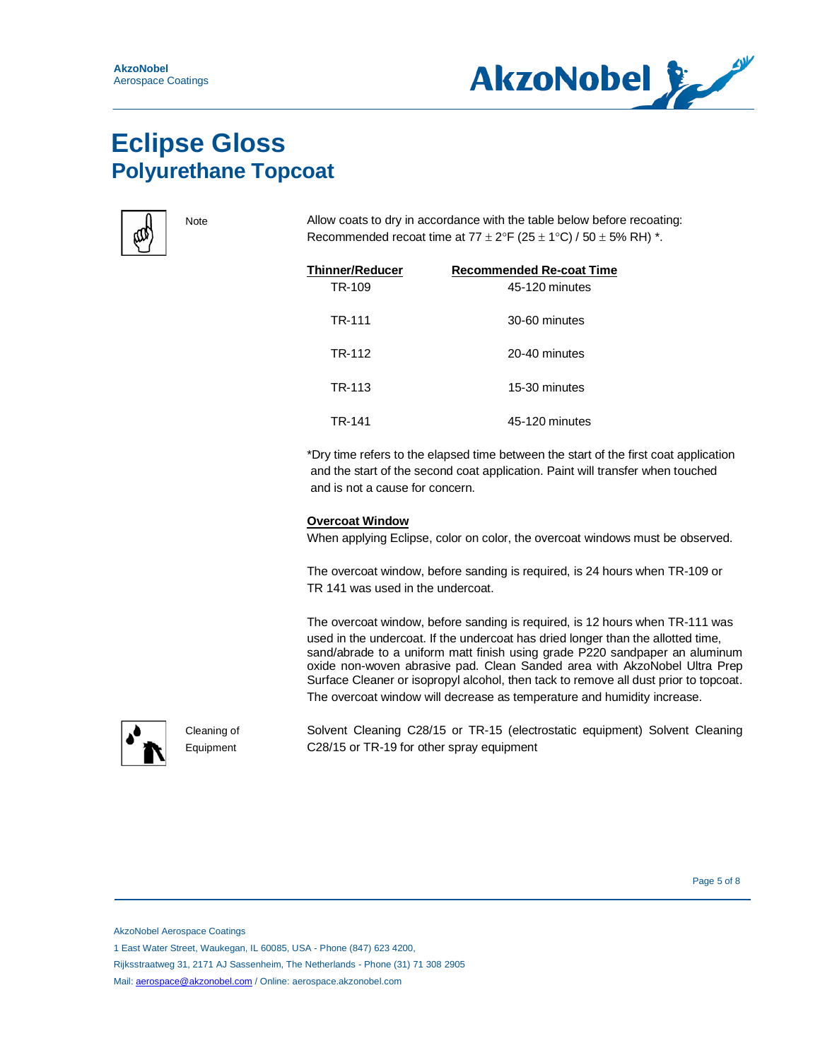



Note Allow coats to dry in accordance with the table below before recoating: Recommended recoat time at  $77 \pm 2$ °F ( $25 \pm 1$ °C) /  $50 \pm 5$ % RH)  $^*$ .

| Thinner/Reducer | <b>Recommended Re-coat Time</b> |
|-----------------|---------------------------------|
| TR-109          | 45-120 minutes                  |
| TR-111          | 30-60 minutes                   |
| TR-112          | 20-40 minutes                   |
| TR-113          | 15-30 minutes                   |
| TR-141          | 45-120 minutes                  |

\*Dry time refers to the elapsed time between the start of the first coat application and the start of the second coat application. Paint will transfer when touched and is not a cause for concern.

#### **Overcoat Window**

When applying Eclipse, color on color, the overcoat windows must be observed.

The overcoat window, before sanding is required, is 24 hours when TR-109 or TR 141 was used in the undercoat.

The overcoat window, before sanding is required, is 12 hours when TR-111 was used in the undercoat. If the undercoat has dried longer than the allotted time, sand/abrade to a uniform matt finish using grade P220 sandpaper an aluminum oxide non-woven abrasive pad. Clean Sanded area with AkzoNobel Ultra Prep Surface Cleaner or isopropyl alcohol, then tack to remove all dust prior to topcoat. The overcoat window will decrease as temperature and humidity increase.



Cleaning of Equipment

Solvent Cleaning C28/15 or TR-15 (electrostatic equipment) Solvent Cleaning C28/15 or TR-19 for other spray equipment

Page 5 of 8 and 2012 and 2012 and 2012 and 2012 and 2012 and 2012 and 2012 and 2012 and 2012 and 201

AkzoNobel Aerospace Coatings

1 East Water Street, Waukegan, IL 60085, USA - Phone (847) 623 4200,

Rijksstraatweg 31, 2171 AJ Sassenheim, The Netherlands - Phone (31) 71 308 2905

Mail: [aerospace@akzonobel.com](mailto:aerospace@akzonobel.com) / Online: aerospace.akzonobel.com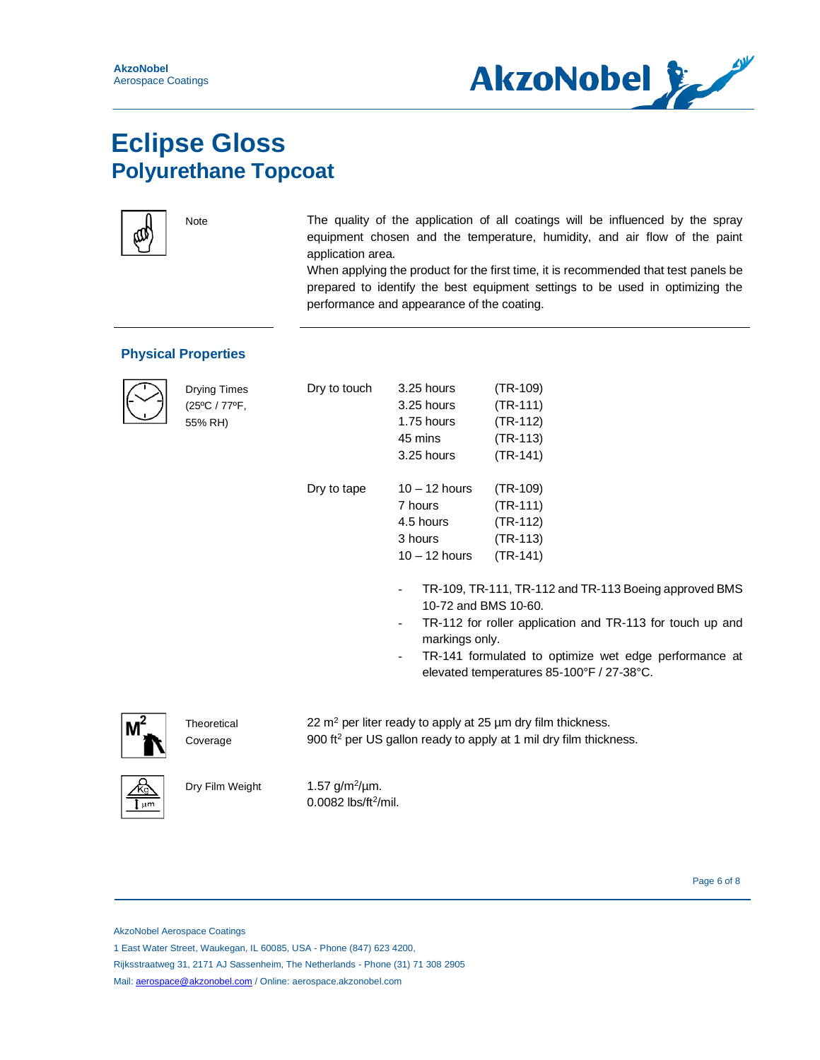



Note The quality of the application of all coatings will be influenced by the spray equipment chosen and the temperature, humidity, and air flow of the paint application area.

> When applying the product for the first time, it is recommended that test panels be prepared to identify the best equipment settings to be used in optimizing the performance and appearance of the coating.

#### **Physical Properties**



Drying Times (25ºC / 77ºF, 55% RH)

| ŝ | Dry to touch | 3.25 hours           | (TR-109)                 |
|---|--------------|----------------------|--------------------------|
|   |              | 3.25 hours           | $(TR-111)$               |
|   |              | 1.75 hours           | $(TR-112)$               |
|   |              | 45 mins              | $(TR-113)$               |
|   |              | 3.25 hours           | $(TR-141)$               |
|   | Dry to tape  | $10 - 12$ hours      | (TR-109)                 |
|   |              | 7 hours              | (TR-111)                 |
|   |              | 4.5 hours            | $(TR-112)$               |
|   |              | 3 hours              | (TR-113)                 |
|   |              | $10 - 12$ hours      | $(TR-141)$               |
|   |              |                      | TR-109, TR-111, TR-112 a |
|   |              | 10-72 and BMS 10-60. |                          |

TR-112 for roller application and TR-113 for touch up and markings only.

Ind TR-113 Boeing approved BMS

TR-141 formulated to optimize wet edge performance at elevated temperatures 85-100°F / 27-38°C.



**Theoretical** Coverage  $22 \text{ m}^2$  per liter ready to apply at 25  $\mu$ m dry film thickness. 900 ft<sup>2</sup> per US gallon ready to apply at 1 mil dry film thickness.



1.57  $g/m^2/\mu m$ . 0.0082 lbs/ft<sup>2</sup>/mil.

Page 6 of 8 and 20 and 20 and 20 and 20 and 20 and 20 and 20 and 20 and 20 and 20 and 20 and 20 and 20 and 20 and 20 and 20 and 20 and 20 and 20 and 20 and 20 and 20 and 20 and 20 and 20 and 20 and 20 and 20 and 20 and 20

AkzoNobel Aerospace Coatings

1 East Water Street, Waukegan, IL 60085, USA - Phone (847) 623 4200,

Rijksstraatweg 31, 2171 AJ Sassenheim, The Netherlands - Phone (31) 71 308 2905

Mail: [aerospace@akzonobel.com](mailto:aerospace@akzonobel.com) / Online: aerospace.akzonobel.com

Dry Film Weight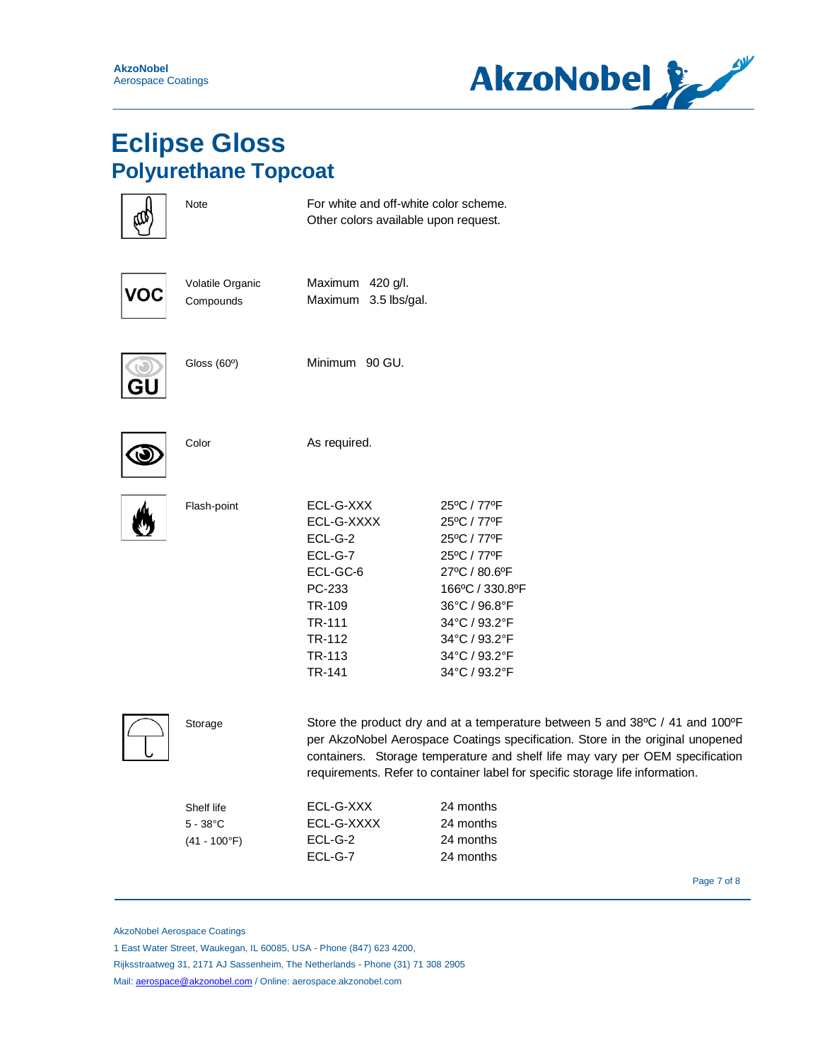

|     | Note                                                | For white and off-white color scheme.<br>Other colors available upon request.                                                                                                                                                                                                                                                    |                                                                                                                                                                                   |
|-----|-----------------------------------------------------|----------------------------------------------------------------------------------------------------------------------------------------------------------------------------------------------------------------------------------------------------------------------------------------------------------------------------------|-----------------------------------------------------------------------------------------------------------------------------------------------------------------------------------|
| VOC | Volatile Organic<br>Compounds                       | Maximum 420 g/l.<br>Maximum 3.5 lbs/gal.                                                                                                                                                                                                                                                                                         |                                                                                                                                                                                   |
|     | Gloss (60°)                                         | Minimum 90 GU.                                                                                                                                                                                                                                                                                                                   |                                                                                                                                                                                   |
|     | Color                                               | As required.                                                                                                                                                                                                                                                                                                                     |                                                                                                                                                                                   |
|     | Flash-point                                         | ECL-G-XXX<br>ECL-G-XXXX<br>ECL-G-2<br>ECL-G-7<br>ECL-GC-6<br>PC-233<br>TR-109<br>TR-111<br>TR-112<br>TR-113<br>TR-141                                                                                                                                                                                                            | 25°C / 77°F<br>25°C / 77°F<br>25°C / 77°F<br>25°C / 77°F<br>27°C / 80.6°F<br>166°C / 330.8°F<br>36°C / 96.8°F<br>34°C / 93.2°F<br>34°C / 93.2°F<br>34°C / 93.2°F<br>34°C / 93.2°F |
|     | Storage                                             | Store the product dry and at a temperature between 5 and 38°C / 41 and 100°F<br>per AkzoNobel Aerospace Coatings specification. Store in the original unopened<br>containers. Storage temperature and shelf life may vary per OEM specification<br>requirements. Refer to container label for specific storage life information. |                                                                                                                                                                                   |
|     | Shelf life<br>$5 - 38^{\circ}$ C<br>$(41 - 100$ °F) | ECL-G-XXX<br>ECL-G-XXXX<br>ECL-G-2<br>ECL-G-7                                                                                                                                                                                                                                                                                    | 24 months<br>24 months<br>24 months<br>24 months                                                                                                                                  |

Page 7 of 8 September 2014 19:30 September 2014 19:30 September 2014 19:30 September 2014 19:30 September 2016

AkzoNobel Aerospace Coatings

1 East Water Street, Waukegan, IL 60085, USA - Phone (847) 623 4200,

Rijksstraatweg 31, 2171 AJ Sassenheim, The Netherlands - Phone (31) 71 308 2905

Mail: [aerospace@akzonobel.com](mailto:aerospace@akzonobel.com) / Online: aerospace.akzonobel.com